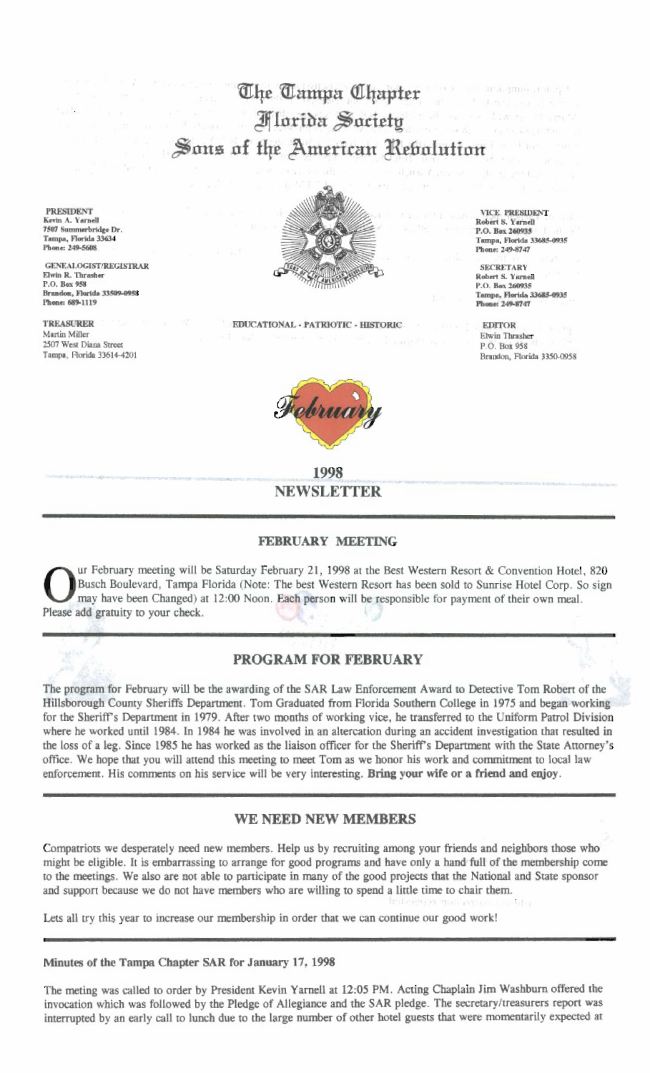# The Tampa Chapter **Mlarida** Saciety Sons of the American Rebolution

**PRESIDENT** Kevin A. Yarnell 7507 Summerbridge Dr. Tampa, Florida 33634 Phone: 249-5608

**GENEALOGIST/REGISTRAR** Elwin R. Thrasher P.O. Box 958 Brandon, Florida 33509-0958 Phone: 689-1119

TREASURER Martin Miller 2507 West Diana Street Tampa, Florida 33614-4201



EDUCATIONAL - PATRIOTIC - HISTORIC



1998 **NEWSLETTER** 

### **FEBRUARY MEETING**

ur February meeting will be Saturday February 21, 1998 at the Best Western Resort & Convention Hotel, 820 Busch Boulevard, Tampa Florida (Note: The best Western Resort has been sold to Sunrise Hotel Corp. So sign may have been Changed) at 12:00 Noon. Each person will be responsible for payment of their own meal. Please add gratuity to your check.

# PROGRAM FOR FEBRUARY

The program for February will be the awarding of the SAR Law Enforcement Award to Detective Tom Robert of the Hillsborough County Sheriffs Department. Tom Graduated from Florida Southern College in 1975 and began working for the Sheriff's Department in 1979. After two months of working vice, he transferred to the Uniform Patrol Division where he worked until 1984. In 1984 he was involved in an altercation during an accident investigation that resulted in the loss of a leg. Since 1985 he has worked as the liaison officer for the Sheriff's Department with the State Attorney's office. We hope that you will attend this meeting to meet Tom as we honor his work and commitment to local law enforcement. His comments on his service will be very interesting. Bring your wife or a friend and enjoy.

### WE NEED NEW MEMBERS

Compatriots we desperately need new members. Help us by recruiting among your friends and neighbors those who might be eligible. It is embarrassing to arrange for good programs and have only a hand full of the membership come to the meetings. We also are not able to participate in many of the good projects that the National and State sponsor and support because we do not have members who are willing to spend a little time to chair them.

Lets all try this year to increase our membership in order that we can continue our good work!

#### Minutes of the Tampa Chapter SAR for January 17, 1998

The meting was called to order by President Kevin Yarnell at 12:05 PM. Acting Chaplain Jim Washburn offered the invocation which was followed by the Pledge of Allegiance and the SAR pledge. The secretary/treasurers report was interrupted by an early call to lunch due to the large number of other hotel guests that were momentarily expected at

**VICE PRESIDENT** Robert S. Yarnell P.O. Box 260935 Tampa, Florida 33685-0935 Phone: 249-8747

**SECRETARY** Robert S. Yarnell P.O. Box 260935 Tampa, Florida 33685-0935 ne: 249-8747 Pho

**EDITOR** Elwin Thrasher P.O. Box 958 Brandon, Florida 3350-0958